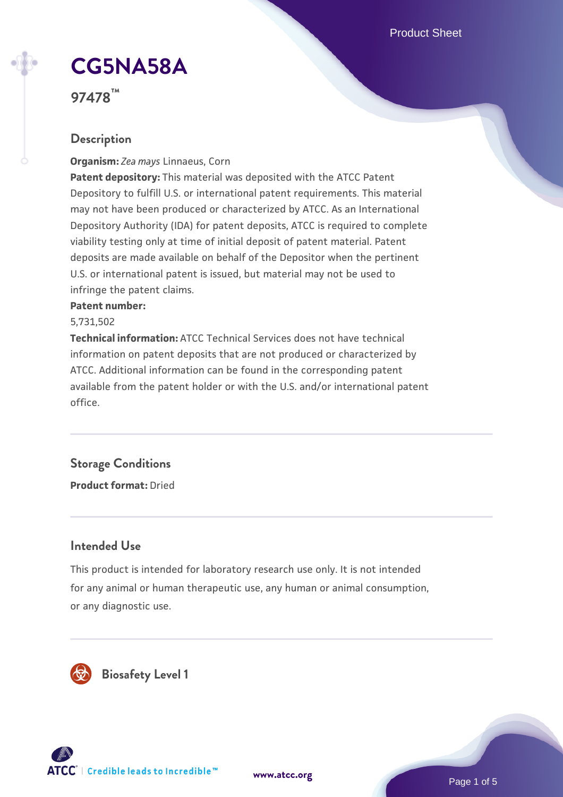Product Sheet

# **[CG5NA58A](https://www.atcc.org/products/97478)**

**97478™**

# **Description**

**Organism:** *Zea mays* Linnaeus, Corn

**Patent depository:** This material was deposited with the ATCC Patent Depository to fulfill U.S. or international patent requirements. This material may not have been produced or characterized by ATCC. As an International Depository Authority (IDA) for patent deposits, ATCC is required to complete viability testing only at time of initial deposit of patent material. Patent deposits are made available on behalf of the Depositor when the pertinent U.S. or international patent is issued, but material may not be used to infringe the patent claims.

#### **Patent number:**

5,731,502

**Technical information:** ATCC Technical Services does not have technical information on patent deposits that are not produced or characterized by ATCC. Additional information can be found in the corresponding patent available from the patent holder or with the U.S. and/or international patent office.

# **Storage Conditions**

**Product format:** Dried

# **Intended Use**

This product is intended for laboratory research use only. It is not intended for any animal or human therapeutic use, any human or animal consumption, or any diagnostic use.





Page 1 of 5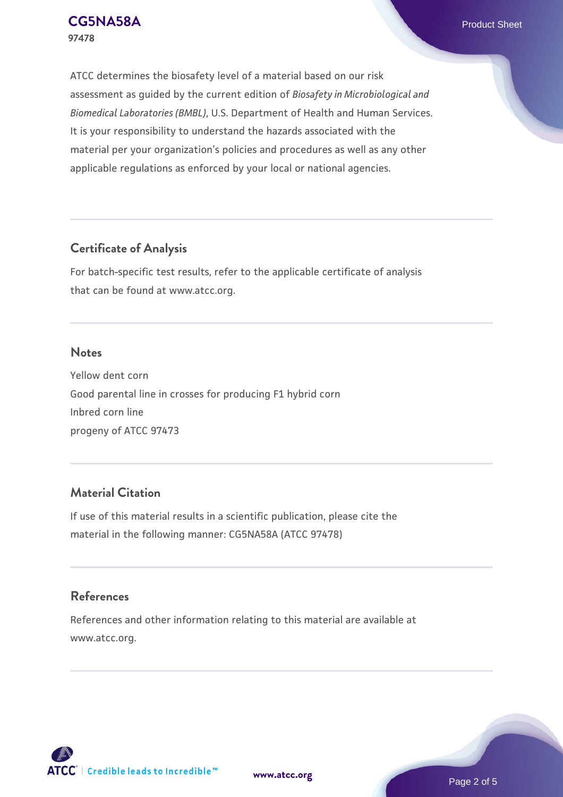ATCC determines the biosafety level of a material based on our risk assessment as guided by the current edition of *Biosafety in Microbiological and Biomedical Laboratories (BMBL)*, U.S. Department of Health and Human Services. It is your responsibility to understand the hazards associated with the material per your organization's policies and procedures as well as any other applicable regulations as enforced by your local or national agencies.

## **Certificate of Analysis**

For batch-specific test results, refer to the applicable certificate of analysis that can be found at www.atcc.org.

#### **Notes**

Yellow dent corn Good parental line in crosses for producing F1 hybrid corn Inbred corn line progeny of ATCC 97473

# **Material Citation**

If use of this material results in a scientific publication, please cite the material in the following manner: CG5NA58A (ATCC 97478)

# **References**

References and other information relating to this material are available at www.atcc.org.



**[www.atcc.org](http://www.atcc.org)**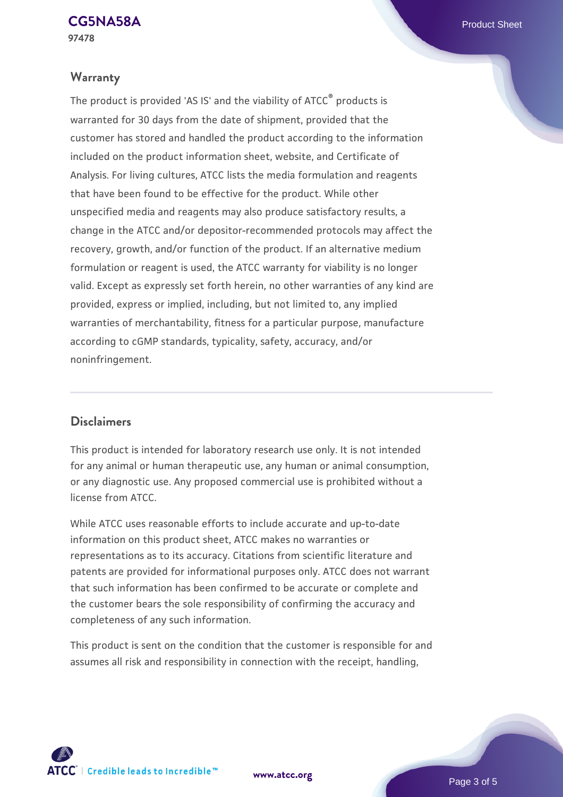#### **Warranty**

The product is provided 'AS IS' and the viability of ATCC® products is warranted for 30 days from the date of shipment, provided that the customer has stored and handled the product according to the information included on the product information sheet, website, and Certificate of Analysis. For living cultures, ATCC lists the media formulation and reagents that have been found to be effective for the product. While other unspecified media and reagents may also produce satisfactory results, a change in the ATCC and/or depositor-recommended protocols may affect the recovery, growth, and/or function of the product. If an alternative medium formulation or reagent is used, the ATCC warranty for viability is no longer valid. Except as expressly set forth herein, no other warranties of any kind are provided, express or implied, including, but not limited to, any implied warranties of merchantability, fitness for a particular purpose, manufacture according to cGMP standards, typicality, safety, accuracy, and/or noninfringement.

## **Disclaimers**

This product is intended for laboratory research use only. It is not intended for any animal or human therapeutic use, any human or animal consumption, or any diagnostic use. Any proposed commercial use is prohibited without a license from ATCC.

While ATCC uses reasonable efforts to include accurate and up-to-date information on this product sheet, ATCC makes no warranties or representations as to its accuracy. Citations from scientific literature and patents are provided for informational purposes only. ATCC does not warrant that such information has been confirmed to be accurate or complete and the customer bears the sole responsibility of confirming the accuracy and completeness of any such information.

This product is sent on the condition that the customer is responsible for and assumes all risk and responsibility in connection with the receipt, handling,

**[www.atcc.org](http://www.atcc.org)**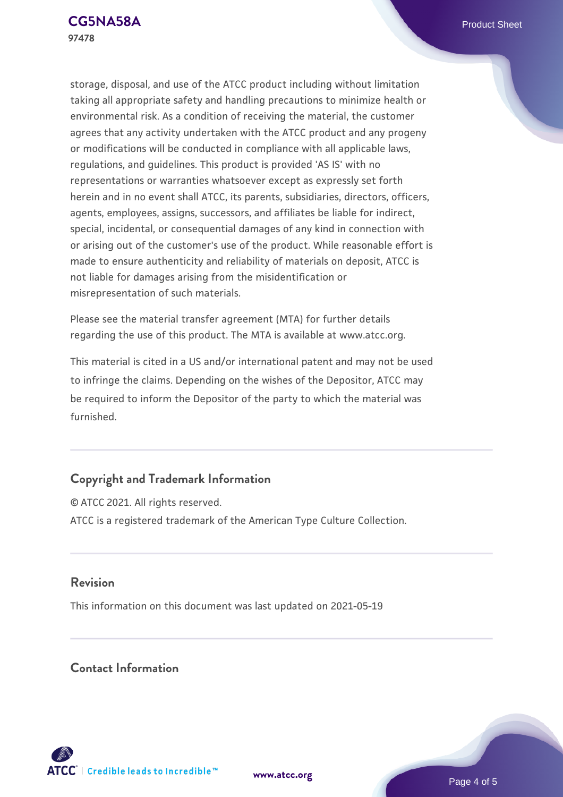storage, disposal, and use of the ATCC product including without limitation taking all appropriate safety and handling precautions to minimize health or environmental risk. As a condition of receiving the material, the customer agrees that any activity undertaken with the ATCC product and any progeny or modifications will be conducted in compliance with all applicable laws, regulations, and guidelines. This product is provided 'AS IS' with no representations or warranties whatsoever except as expressly set forth herein and in no event shall ATCC, its parents, subsidiaries, directors, officers, agents, employees, assigns, successors, and affiliates be liable for indirect, special, incidental, or consequential damages of any kind in connection with or arising out of the customer's use of the product. While reasonable effort is made to ensure authenticity and reliability of materials on deposit, ATCC is not liable for damages arising from the misidentification or misrepresentation of such materials.

Please see the material transfer agreement (MTA) for further details regarding the use of this product. The MTA is available at www.atcc.org.

This material is cited in a US and/or international patent and may not be used to infringe the claims. Depending on the wishes of the Depositor, ATCC may be required to inform the Depositor of the party to which the material was furnished.

# **Copyright and Trademark Information**

© ATCC 2021. All rights reserved. ATCC is a registered trademark of the American Type Culture Collection.

## **Revision**

This information on this document was last updated on 2021-05-19

## **Contact Information**